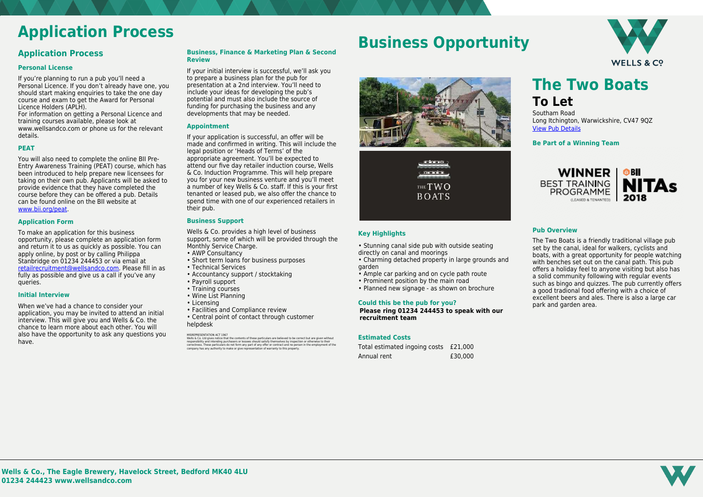

# **Application Process**

### **Application Process**

#### **Personal License**

If you're planning to run a pub you'll need a Personal Licence. If you don't already have one, you should start making enquiries to take the one day course and exam to get the Award for Personal Licence Holders (APLH).

For information on getting a Personal Licence and training courses available, please look at www.wellsandco.com or phone us for the relevant details.

#### **PEAT**

You will also need to complete the online BII Pre-Entry Awareness Training (PEAT) course, which has been introduced to help prepare new licensees for taking on their own pub. Applicants will be asked to provide evidence that they have completed the course before they can be offered a pub. Details can be found online on the BII website at [www.bii.org/peat.](https://www.bii.org/peat)

#### **Application Form**

To make an application for this business opportunity, please complete an application form and return it to us as quickly as possible. You can apply online, by post or by calling Philippa Stanbridge on 01234 244453 or via email at [retailrecruitment@wellsandco.com](mailto:retailrecruitment@wellsandco.com). Please fill in as fully as possible and give us a call if you've any queries.

#### **Initial Interview**

Wells & Co. provides a high level of business support, some of which will be provided through the Monthly Service Charge.

When we've had a chance to consider your application, you may be invited to attend an initial interview. This will give you and Wells & Co. the chance to learn more about each other. You will also have the opportunity to ask any questions you have.

#### **Business, Finance & Marketing Plan & Second Review**

MISREPRESENTATION ACT 1967<br>Wells & Co. Ltd gives notice that the contents of these particulars are believed to be correct but are given without<br>responsibility and intending purchasers or lessees should satisfy themselves b correctness. These particulars do not form any part of any offer or contract and no person in the employment of the company has any authority to make or give representation of warranty to this property.

- Stunning canal side pub with outside seating directly on canal and moorings
- Charming detached property in large grounds and garden
- Ample car parking and on cycle path route
- Prominent position by the main road
- Planned new signage as shown on brochure

If your initial interview is successful, we'll ask you to prepare a business plan for the pub for presentation at a 2nd interview. You'll need to include your ideas for developing the pub's potential and must also include the source of funding for purchasing the business and any developments that may be needed.

#### **Appointment**

If your application is successful, an offer will be made and confirmed in writing. This will include the legal position or 'Heads of Terms' of the appropriate agreement. You'll be expected to attend our five day retailer induction course, Wells & Co. Induction Programme. This will help prepare you for your new business venture and you'll meet a number of key Wells & Co. staff. If this is your first tenanted or leased pub, we also offer the chance to spend time with one of our experienced retailers in their pub.

#### **Business Support**

- AWP Consultancy
- Short term loans for business purposes
- Technical Services
- Accountancy support / stocktaking
- Payroll support
- Training courses
- Wine List Planning
- Licensing
- Facilities and Compliance review
- Central point of contact through customer helpdesk

## **Business Opportunity**





#### **Key Highlights**

#### **Could this be the pub for you?**

**Please ring 01234 244453 to speak with our recruitment team**

#### **Estimated Costs**

| Total estimated ingoing costs £21,000 |         |
|---------------------------------------|---------|
| Annual rent                           | £30,000 |

**The Two Boats To Let**

Southam Road Long Itchington, Warwickshire, CV47 9QZ [View Pub Details](https://www.wellsandco.com/pubs/68/the-two-boats)

**Be Part of a Winning Team**



#### **Pub Overview**

The Two Boats is a friendly traditional village pub set by the canal, ideal for walkers, cyclists and boats, with a great opportunity for people watching with benches set out on the canal path. This pub offers a holiday feel to anyone visiting but also has a solid community following with regular events such as bingo and quizzes. The pub currently offers a good tradional food offering with a choice of excellent beers and ales. There is also a large car park and garden area.